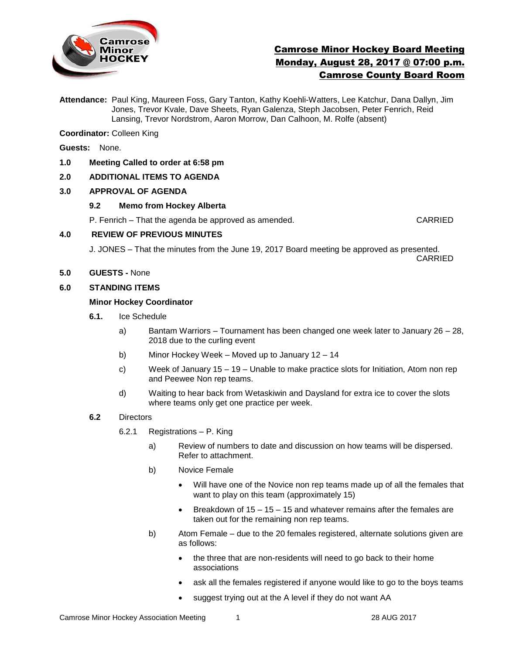

# Camrose Minor Hockey Board Meeting Monday, August 28, 2017 @ 07:00 p.m. Camrose County Board Room

**Attendance:** Paul King, Maureen Foss, Gary Tanton, Kathy Koehli-Watters, Lee Katchur, Dana Dallyn, Jim Jones, Trevor Kvale, Dave Sheets, Ryan Galenza, Steph Jacobsen, Peter Fenrich, Reid Lansing, Trevor Nordstrom, Aaron Morrow, Dan Calhoon, M. Rolfe (absent)

**Coordinator:** Colleen King

- **Guests:** None.
- **1.0 Meeting Called to order at 6:58 pm**

## **2.0 ADDITIONAL ITEMS TO AGENDA**

## **3.0 APPROVAL OF AGENDA**

#### **9.2 Memo from Hockey Alberta**

P. Fenrich – That the agenda be approved as amended. CARRIED

#### **4.0 REVIEW OF PREVIOUS MINUTES**

J. JONES – That the minutes from the June 19, 2017 Board meeting be approved as presented. CARRIED

**5.0 GUESTS -** None

#### **6.0 STANDING ITEMS**

#### **Minor Hockey Coordinator**

- **6.1.** Ice Schedule
	- a) Bantam Warriors Tournament has been changed one week later to January 26 28, 2018 due to the curling event
	- b) Minor Hockey Week Moved up to January 12 14
	- c) Week of January 15 19 Unable to make practice slots for Initiation, Atom non rep and Peewee Non rep teams.
	- d) Waiting to hear back from Wetaskiwin and Daysland for extra ice to cover the slots where teams only get one practice per week.
- **6.2** Directors
	- 6.2.1 Registrations P. King
		- a)Review of numbers to date and discussion on how teams will be dispersed. Refer to attachment.
		- b) Novice Female
			- Will have one of the Novice non rep teams made up of all the females that want to play on this team (approximately 15)
			- **Breakdown of 15 15 15 and whatever remains after the females are** taken out for the remaining non rep teams.
		- b) Atom Female due to the 20 females registered, alternate solutions given are as follows:
			- the three that are non-residents will need to go back to their home associations
			- ask all the females registered if anyone would like to go to the boys teams
			- suggest trying out at the A level if they do not want AA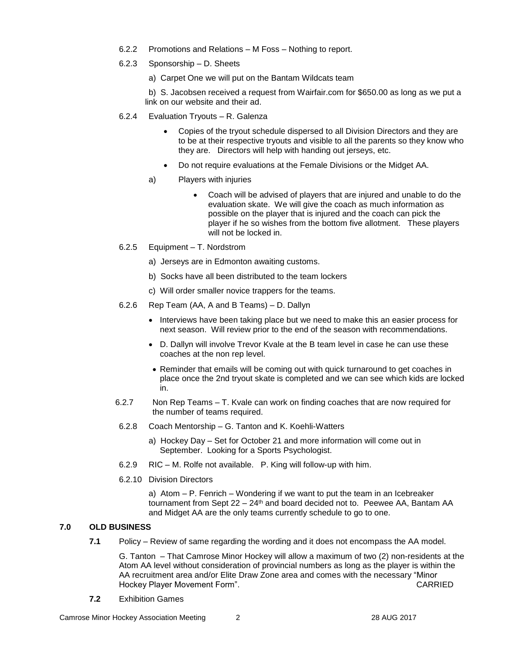- 6.2.2 Promotions and Relations M Foss Nothing to report.
- 6.2.3 Sponsorship D. Sheets
	- a) Carpet One we will put on the Bantam Wildcats team

b) S. Jacobsen received a request from Wairfair.com for \$650.00 as long as we put a link on our website and their ad.

- 6.2.4 Evaluation Tryouts R. Galenza
	- Copies of the tryout schedule dispersed to all Division Directors and they are to be at their respective tryouts and visible to all the parents so they know who they are. Directors will help with handing out jerseys, etc.
	- Do not require evaluations at the Female Divisions or the Midget AA.
	- a) Players with injuries
		- Coach will be advised of players that are injured and unable to do the evaluation skate. We will give the coach as much information as possible on the player that is injured and the coach can pick the player if he so wishes from the bottom five allotment. These players will not be locked in.
- 6.2.5 Equipment T. Nordstrom
	- a) Jerseys are in Edmonton awaiting customs.
	- b) Socks have all been distributed to the team lockers
	- c) Will order smaller novice trappers for the teams.
- 6.2.6 Rep Team (AA, A and B Teams) D. Dallyn
	- Interviews have been taking place but we need to make this an easier process for next season. Will review prior to the end of the season with recommendations.
	- D. Dallyn will involve Trevor Kvale at the B team level in case he can use these coaches at the non rep level.
	- Reminder that emails will be coming out with quick turnaround to get coaches in place once the 2nd tryout skate is completed and we can see which kids are locked in.
- 6.2.7 Non Rep Teams T. Kvale can work on finding coaches that are now required for the number of teams required.
- 6.2.8 Coach Mentorship G. Tanton and K. Koehli-Watters
	- a) Hockey Day Set for October 21 and more information will come out in September. Looking for a Sports Psychologist.
- 6.2.9 RIC M. Rolfe not available. P. King will follow-up with him.
- 6.2.10 Division Directors

a) Atom – P. Fenrich – Wondering if we want to put the team in an Icebreaker tournament from Sept  $22 - 24$ <sup>th</sup> and board decided not to. Peewee AA, Bantam AA and Midget AA are the only teams currently schedule to go to one.

# **7.0 OLD BUSINESS**

**7.1** Policy – Review of same regarding the wording and it does not encompass the AA model.

G. Tanton – That Camrose Minor Hockey will allow a maximum of two (2) non-residents at the Atom AA level without consideration of provincial numbers as long as the player is within the AA recruitment area and/or Elite Draw Zone area and comes with the necessary "Minor Hockey Player Movement Form". CARRIED

**7.2** Exhibition Games